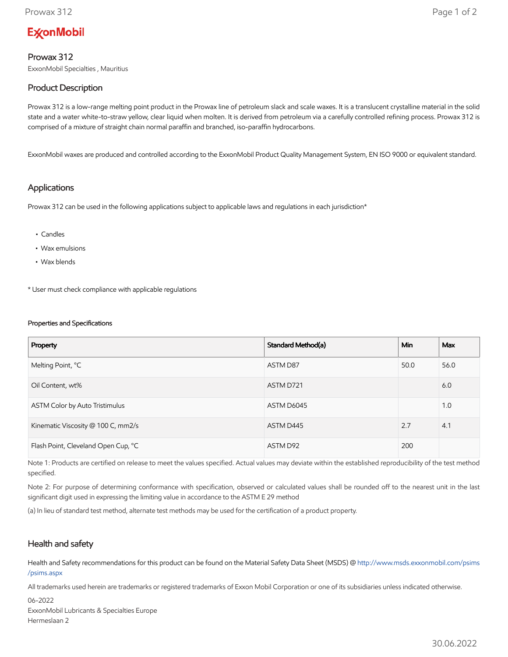# **ExconMobil**

## Prowax 312

ExxonMobil Specialties , Mauritius

# Product Description

Prowax 312 is a low-range melting point product in the Prowax line of petroleum slack and scale waxes. It is a translucent crystalline material in the solid state and a water white-to-straw yellow, clear liquid when molten. It is derived from petroleum via a carefully controlled refining process. Prowax 312 is comprised of a mixture of straight chain normal paraffin and branched, iso-paraffin hydrocarbons.

ExxonMobil waxes are produced and controlled according to the ExxonMobil Product Quality Management System, EN ISO 9000 or equivalent standard.

#### Applications

Prowax 312 can be used in the following applications subject to applicable laws and regulations in each jurisdiction\*

- Candles
- Wax emulsions
- Wax blends

\* User must check compliance with applicable regulations

#### Properties and Specifications

| Property                            | Standard Method(a) | Min  | <b>Max</b> |
|-------------------------------------|--------------------|------|------------|
| Melting Point, °C                   | ASTM D87           | 50.0 | 56.0       |
| Oil Content, wt%                    | ASTM D721          |      | 6.0        |
| ASTM Color by Auto Tristimulus      | ASTM D6045         |      | 1.0        |
| Kinematic Viscosity @ 100 C, mm2/s  | ASTM D445          | 2.7  | 4.1        |
| Flash Point, Cleveland Open Cup, °C | ASTM D92           | 200  |            |

Note 1: Products are certified on release to meet the values specified. Actual values may deviate within the established reproducibility of the test method specified.

Note 2: For purpose of determining conformance with specification, observed or calculated values shall be rounded off to the nearest unit in the last significant digit used in expressing the limiting value in accordance to the ASTM E 29 method

(a) In lieu of standard test method, alternate test methods may be used for the certification of a product property.

### Health and safety

Health and Safety recommendations for this product can be found on the Material Safety Data Sheet (MSDS) @ [http://www.msds.exxonmobil.com/psims](http://www.msds.exxonmobil.com/psims/psims.aspx) /psims.aspx

All trademarks used herein are trademarks or registered trademarks of Exxon Mobil Corporation or one of its subsidiaries unless indicated otherwise.

06-2022 ExxonMobil Lubricants & Specialties Europe Hermeslaan 2